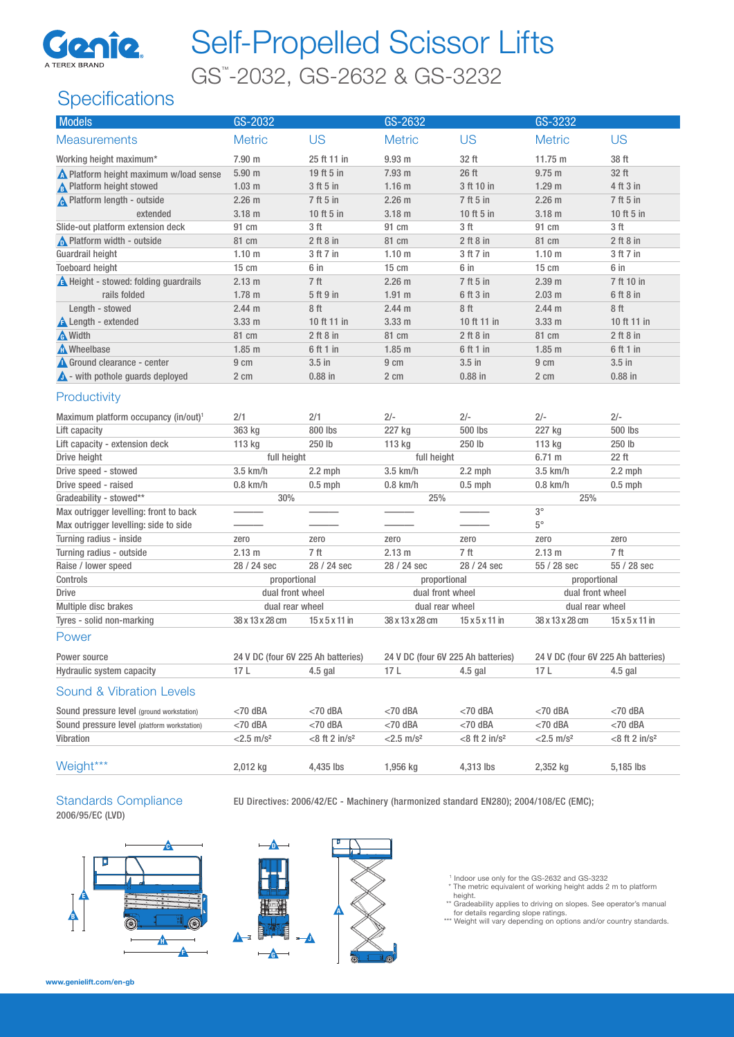

# Self-Propelled Scissor Lifts

GS™ -2032, GS-2632 & GS-3232

## **Specifications**

| <b>Models</b>                                    | GS-2032                  |                                    |                          | GS-2632                            |                                    | GS-3232                    |  |
|--------------------------------------------------|--------------------------|------------------------------------|--------------------------|------------------------------------|------------------------------------|----------------------------|--|
| <b>Measurements</b>                              | <b>Metric</b>            | <b>US</b>                          | <b>Metric</b>            | <b>US</b>                          | <b>Metric</b>                      | <b>US</b>                  |  |
| Working height maximum*                          | 7.90 m                   | 25 ft 11 in                        | 9.93 <sub>m</sub>        | 32 ft                              | 11.75 m                            | 38 ft                      |  |
| Nelatform height maximum w/load sense            | 5.90 <sub>m</sub>        | 19 ft 5 in                         | 7.93 m                   | 26 ft                              | $9.75$ m                           | 32 ft                      |  |
| <b>A</b> Platform height stowed                  | 1.03 <sub>m</sub>        | 3 ft 5 in                          | 1.16 <sub>m</sub>        | 3 ft 10 in                         | 1.29 <sub>m</sub>                  | 4 ft 3 in                  |  |
| <b>A</b> Platform length - outside               | 2.26 <sub>m</sub>        | 7 ft 5 in                          | $2.26$ m                 | 7 ft 5 in                          | $2.26$ m                           | 7 ft 5 in                  |  |
| extended                                         | 3.18 <sub>m</sub>        | 10 ft 5 in                         | $3.18$ m                 | 10 ft 5 in                         | $3.18$ m                           | 10 ft 5 in                 |  |
| Slide-out platform extension deck                | 91 cm                    | 3 ft                               | 91 cm                    | 3 <sub>ft</sub>                    | 91 cm                              | 3 <sub>ft</sub>            |  |
| No Platform width - outside                      | 81 cm                    | $2$ ft $8$ in                      | 81 cm                    | $2$ ft $8$ in                      | 81 cm                              | $2$ ft $8$ in              |  |
| Guardrail height                                 | 1.10 <sub>m</sub>        | 3 ft 7 in                          | 1.10 <sub>m</sub>        | 3 ft 7 in                          | 1.10 <sub>m</sub>                  | 3 ft 7 in                  |  |
| <b>Toeboard height</b>                           | $15 \text{ cm}$          | 6 in                               | $15 \text{ cm}$          | 6 in                               | $15 \text{ cm}$                    | 6 in                       |  |
| A Height - stowed: folding guardrails            | 2.13 m                   | 7 ft                               | $2.26$ m                 | 7 ft 5 in                          | 2.39 <sub>m</sub>                  | 7 ft 10 in                 |  |
| rails folded                                     | 1.78 <sub>m</sub>        | 5 ft 9 in                          | $1.91$ m                 | 6 ft 3 in                          | $2.03$ m                           | 6 ft 8 in                  |  |
| Length - stowed                                  | 2.44 <sub>m</sub>        | 8ft                                | 2.44 m                   | 8 ft                               | 2.44 <sub>m</sub>                  | 8ft                        |  |
| <b>A</b> Length - extended                       | 3.33 <sub>m</sub>        | 10 ft 11 in                        | 3.33 <sub>m</sub>        | 10 ft 11 in                        | 3.33 <sub>m</sub>                  | 10 ft 11 in                |  |
| <b>A</b> Width                                   | 81 cm                    | $2$ ft $8$ in                      | 81 cm                    | $2$ ft $8$ in                      | 81 cm                              | $2$ ft $8$ in              |  |
| M Wheelbase                                      | $1.85$ m                 | 6 ft 1 in                          | $1.85$ m                 | 6 ft 1 in                          | $1.85$ m                           | 6 ft 1 in                  |  |
| Ground clearance - center                        | 9 cm                     | $3.5$ in                           | 9 cm                     | $3.5$ in                           | 9 cm                               | $3.5$ in                   |  |
| $\triangle$ - with pothole guards deployed       | 2 cm                     | $0.88$ in                          | 2 cm                     | $0.88$ in                          | 2 cm                               | $0.88$ in                  |  |
| Productivity                                     |                          |                                    |                          |                                    |                                    |                            |  |
| Maximum platform occupancy (in/out) <sup>1</sup> | 2/1                      | 2/1                                | $2/-$                    | $2/-$                              | $2/-$                              | $2/-$                      |  |
| Lift capacity                                    | 363 kg                   | 800 lbs                            | 227 kg                   | 500 lbs                            | 227 kg                             | 500 lbs                    |  |
| Lift capacity - extension deck                   | 113 kg                   | 250 lb                             | 113 kg                   | 250 lb                             | 113 kg                             | 250 lb                     |  |
| Drive height                                     | full height              |                                    | full height              |                                    | 6.71 m                             | 22 ft                      |  |
| Drive speed - stowed                             | 3.5 km/h                 | $2.2$ mph                          | 3.5 km/h                 | $2.2$ mph                          | 3.5 km/h                           | $2.2$ mph                  |  |
| Drive speed - raised                             | $0.8$ km/h               | $0.5$ mph                          | $0.8$ km/h               | $0.5$ mph                          | $0.8$ km/h                         | $0.5$ mph                  |  |
| Gradeability - stowed**                          | 30%                      |                                    | 25%                      |                                    | 25%                                |                            |  |
| Max outrigger levelling: front to back           |                          |                                    |                          |                                    | $3^{\circ}$                        |                            |  |
| Max outrigger levelling: side to side            |                          |                                    |                          |                                    | $5^{\circ}$                        |                            |  |
| Turning radius - inside                          | zero                     | zero                               | zero                     | zero                               | zero                               | zero                       |  |
| Turning radius - outside                         | 2.13 <sub>m</sub>        | 7 ft                               | 2.13 m                   | 7 ft                               | 2.13 m                             | 7 ft                       |  |
| Raise / lower speed                              | 28 / 24 sec              | 28 / 24 sec                        | 28 / 24 sec              | 28 / 24 sec                        | 55 / 28 sec                        | 55 / 28 sec                |  |
| Controls                                         | proportional             |                                    | proportional             |                                    | proportional                       |                            |  |
| <b>Drive</b>                                     | dual front wheel         |                                    | dual front wheel         |                                    | dual front wheel                   |                            |  |
| Multiple disc brakes                             | dual rear wheel          |                                    | dual rear wheel          |                                    | dual rear wheel                    |                            |  |
| Tyres - solid non-marking                        | 38 x 13 x 28 cm          | $15 \times 5 \times 11$ in         | 38 x 13 x 28 cm          | $15 \times 5 \times 11$ in         | 38 x 13 x 28 cm                    | $15 \times 5 \times 11$ in |  |
| Power                                            |                          |                                    |                          |                                    |                                    |                            |  |
| Power source                                     |                          | 24 V DC (four 6V 225 Ah batteries) |                          | 24 V DC (four 6V 225 Ah batteries) | 24 V DC (four 6V 225 Ah batteries) |                            |  |
| Hydraulic system capacity                        | 17L                      | $4.5$ gal                          | 17L                      | 4.5 gal                            | 17 L                               | $4.5$ gal                  |  |
| <b>Sound &amp; Vibration Levels</b>              |                          |                                    |                          |                                    |                                    |                            |  |
| Sound pressure level (ground workstation)        | $<$ 70 dBA               | $<$ 70 dBA                         | $<$ 70 dBA               | $<$ 70 dBA                         | $<$ 70 dBA                         | $<$ 70 dBA                 |  |
| Sound pressure level (platform workstation)      | $<$ 70 dBA               | $<$ 70 dBA                         | $<$ 70 dBA               | $<$ 70 dBA                         | $<$ 70 dBA                         | $<$ 70 dBA                 |  |
| Vibration                                        | $<$ 2.5 m/s <sup>2</sup> | $<8$ ft 2 in/ $s^2$                | $<$ 2.5 m/s <sup>2</sup> | $<8$ ft 2 in/ $s^2$                | $< 2.5$ m/s <sup>2</sup>           | $<8$ ft 2 in/ $s^2$        |  |
| Weight***                                        | 2,012 kg                 | 4,435 lbs                          | 1,956 kg                 | 4,313 lbs                          | 2,352 kg                           | 5,185 lbs                  |  |

## 2006/95/EC (LVD)

Standards Compliance EU Directives: 2006/42/EC - Machinery (harmonized standard EN280); 2004/108/EC (EMC);





1 Indoor use only for the GS-2632 and GS-3232 \* The metric equivalent of working height adds 2 m to platform

height.

\*\* Gradeability applies to driving on slopes. See operator's manual<br>for details regarding slope ratings.<br>\*\*\* Weight will vary depending on options and/or country standards.